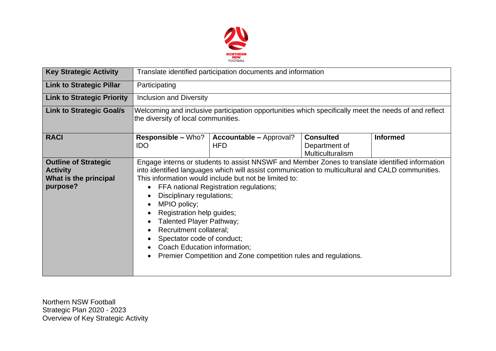

| <b>Key Strategic Activity</b>                                                       | Translate identified participation documents and information                                                                                |                                                                                                                                                                                                                                                                                                                                                                                                                                                                                                                                                          |                                                              |                 |  |  |
|-------------------------------------------------------------------------------------|---------------------------------------------------------------------------------------------------------------------------------------------|----------------------------------------------------------------------------------------------------------------------------------------------------------------------------------------------------------------------------------------------------------------------------------------------------------------------------------------------------------------------------------------------------------------------------------------------------------------------------------------------------------------------------------------------------------|--------------------------------------------------------------|-----------------|--|--|
| <b>Link to Strategic Pillar</b>                                                     | Participating                                                                                                                               |                                                                                                                                                                                                                                                                                                                                                                                                                                                                                                                                                          |                                                              |                 |  |  |
| <b>Link to Strategic Priority</b>                                                   | <b>Inclusion and Diversity</b>                                                                                                              |                                                                                                                                                                                                                                                                                                                                                                                                                                                                                                                                                          |                                                              |                 |  |  |
| <b>Link to Strategic Goal/s</b>                                                     | Welcoming and inclusive participation opportunities which specifically meet the needs of and reflect<br>the diversity of local communities. |                                                                                                                                                                                                                                                                                                                                                                                                                                                                                                                                                          |                                                              |                 |  |  |
| <b>RACI</b>                                                                         | <b>Responsible – Who?</b><br><b>IDO</b>                                                                                                     | <b>Accountable - Approval?</b><br><b>HFD</b>                                                                                                                                                                                                                                                                                                                                                                                                                                                                                                             | <b>Consulted</b><br>Department of<br><b>Multiculturalism</b> | <b>Informed</b> |  |  |
| <b>Outline of Strategic</b><br><b>Activity</b><br>What is the principal<br>purpose? | $\bullet$<br>$\bullet$<br>MPIO policy;<br>$\bullet$<br>$\bullet$<br>$\bullet$<br>$\bullet$                                                  | Engage interns or students to assist NNSWF and Member Zones to translate identified information<br>into identified languages which will assist communication to multicultural and CALD communities.<br>This information would include but not be limited to:<br>FFA national Registration regulations;<br>Disciplinary regulations;<br>Registration help guides;<br>Talented Player Pathway;<br>Recruitment collateral;<br>Spectator code of conduct;<br>Coach Education information;<br>Premier Competition and Zone competition rules and regulations. |                                                              |                 |  |  |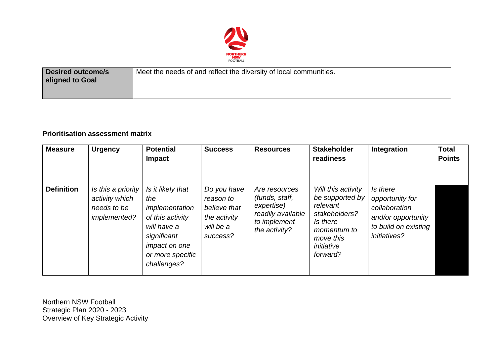

| <b>Desired outcome/s</b><br>aligned to Goal | Meet the needs of and reflect the diversity of local communities. |
|---------------------------------------------|-------------------------------------------------------------------|
|                                             |                                                                   |

## **Prioritisation assessment matrix**

| <b>Measure</b>    | <b>Urgency</b>                                                      | <b>Potential</b><br><b>Impact</b>                                                                                                                       | <b>Success</b>                                                                    | <b>Resources</b>                                                                                    | <b>Stakeholder</b><br>readiness                                                                                                      | Integration                                                                                                       | <b>Total</b><br><b>Points</b> |
|-------------------|---------------------------------------------------------------------|---------------------------------------------------------------------------------------------------------------------------------------------------------|-----------------------------------------------------------------------------------|-----------------------------------------------------------------------------------------------------|--------------------------------------------------------------------------------------------------------------------------------------|-------------------------------------------------------------------------------------------------------------------|-------------------------------|
| <b>Definition</b> | Is this a priority<br>activity which<br>needs to be<br>implemented? | Is it likely that<br>the<br>implementation<br>of this activity<br>will have a<br>significant<br><i>impact on one</i><br>or more specific<br>challenges? | Do you have<br>reason to<br>believe that<br>the activity<br>will be a<br>success? | Are resources<br>(funds, staff,<br>expertise)<br>readily available<br>to implement<br>the activity? | Will this activity<br>be supported by<br>relevant<br>stakeholders?<br>Is there<br>momentum to<br>move this<br>initiative<br>forward? | Is there<br>opportunity for<br>collaboration<br>and/or opportunity<br>to build on existing<br><i>initiatives?</i> |                               |

Northern NSW Football Strategic Plan 2020 - 2023 Overview of Key Strategic Activity